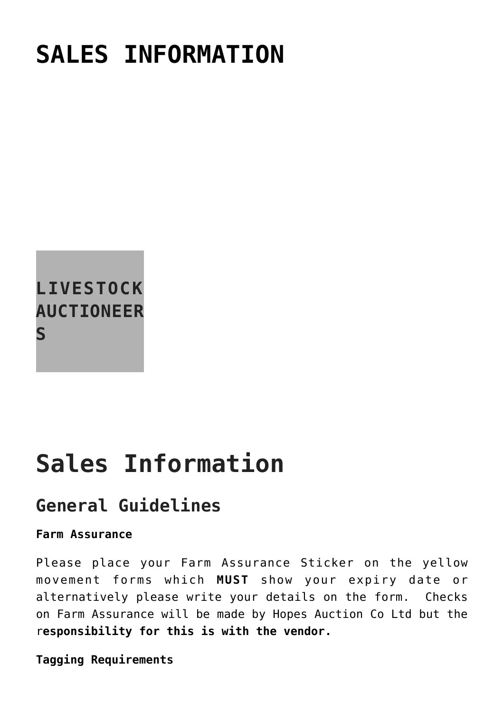# **[SALES INFORMATION](https://www.hopesauction.co.uk/livestock-auctioneers/sales-information/)**



# **Sales Information**

### **General Guidelines**

#### **Farm Assurance**

Please place your Farm Assurance Sticker on the yellow movement forms which **MUST** show your expiry date or alternatively please write your details on the form. Checks on Farm Assurance will be made by Hopes Auction Co Ltd but the r**esponsibility for this is with the vendor.**

**Tagging Requirements**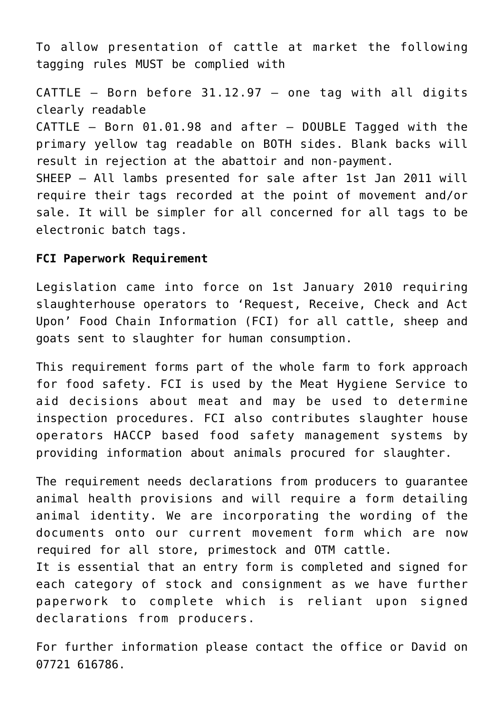To allow presentation of cattle at market the following tagging rules MUST be complied with

CATTLE – Born before 31.12.97 – one tag with all digits clearly readable CATTLE – Born 01.01.98 and after – DOUBLE Tagged with the primary yellow tag readable on BOTH sides. Blank backs will result in rejection at the abattoir and non-payment. SHEEP – All lambs presented for sale after 1st Jan 2011 will require their tags recorded at the point of movement and/or sale. It will be simpler for all concerned for all tags to be electronic batch tags.

#### **FCI Paperwork Requirement**

Legislation came into force on 1st January 2010 requiring slaughterhouse operators to 'Request, Receive, Check and Act Upon' Food Chain Information (FCI) for all cattle, sheep and goats sent to slaughter for human consumption.

This requirement forms part of the whole farm to fork approach for food safety. FCI is used by the Meat Hygiene Service to aid decisions about meat and may be used to determine inspection procedures. FCI also contributes slaughter house operators HACCP based food safety management systems by providing information about animals procured for slaughter.

The requirement needs declarations from producers to guarantee animal health provisions and will require a form detailing animal identity. We are incorporating the wording of the documents onto our current movement form which are now required for all store, primestock and OTM cattle. It is essential that an entry form is completed and signed for each category of stock and consignment as we have further paperwork to complete which is reliant upon signed declarations from producers.

For further information please contact the office or David on 07721 616786.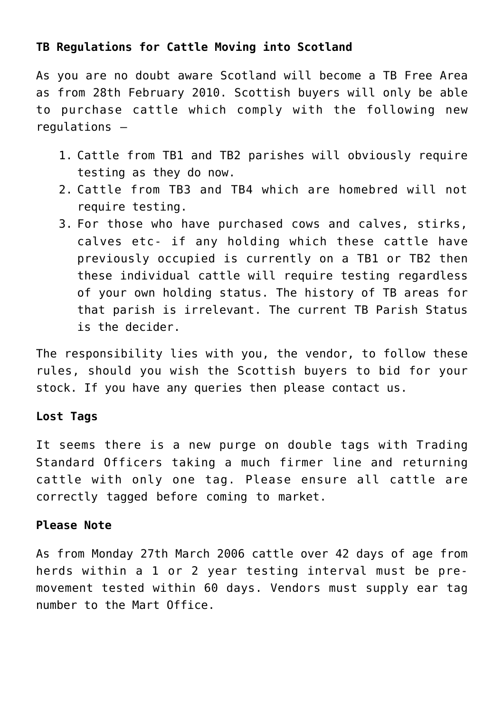#### **TB Regulations for Cattle Moving into Scotland**

As you are no doubt aware Scotland will become a TB Free Area as from 28th February 2010. Scottish buyers will only be able to purchase cattle which comply with the following new regulations –

- 1. Cattle from TB1 and TB2 parishes will obviously require testing as they do now.
- 2. Cattle from TB3 and TB4 which are homebred will not require testing.
- 3. For those who have purchased cows and calves, stirks, calves etc- if any holding which these cattle have previously occupied is currently on a TB1 or TB2 then these individual cattle will require testing regardless of your own holding status. The history of TB areas for that parish is irrelevant. The current TB Parish Status is the decider.

The responsibility lies with you, the vendor, to follow these rules, should you wish the Scottish buyers to bid for your stock. If you have any queries then please contact us.

#### **Lost Tags**

It seems there is a new purge on double tags with Trading Standard Officers taking a much firmer line and returning cattle with only one tag. Please ensure all cattle are correctly tagged before coming to market.

#### **Please Note**

As from Monday 27th March 2006 cattle over 42 days of age from herds within a 1 or 2 year testing interval must be premovement tested within 60 days. Vendors must supply ear tag number to the Mart Office.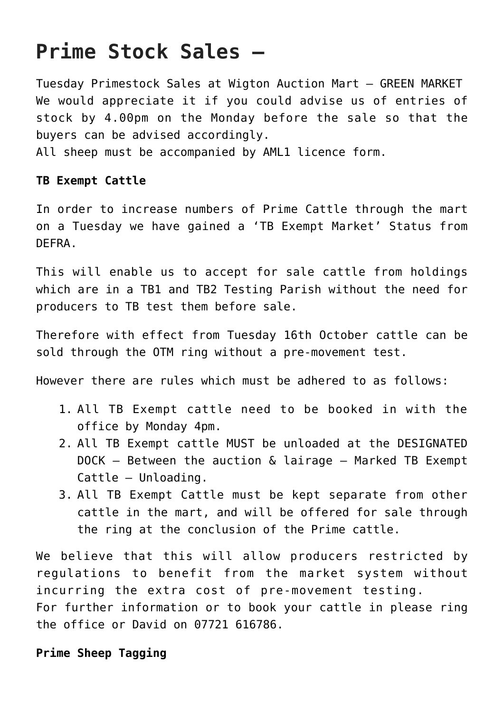## **Prime Stock Sales –**

Tuesday Primestock Sales at Wigton Auction Mart – GREEN MARKET We would appreciate it if you could advise us of entries of stock by 4.00pm on the Monday before the sale so that the buyers can be advised accordingly.

All sheep must be accompanied by AML1 licence form.

#### **TB Exempt Cattle**

In order to increase numbers of Prime Cattle through the mart on a Tuesday we have gained a 'TB Exempt Market' Status from DEFRA.

This will enable us to accept for sale cattle from holdings which are in a TB1 and TB2 Testing Parish without the need for producers to TB test them before sale.

Therefore with effect from Tuesday 16th October cattle can be sold through the OTM ring without a pre-movement test.

However there are rules which must be adhered to as follows:

- 1. All TB Exempt cattle need to be booked in with the office by Monday 4pm.
- 2. All TB Exempt cattle MUST be unloaded at the DESIGNATED DOCK – Between the auction & lairage – Marked TB Exempt Cattle – Unloading.
- 3. All TB Exempt Cattle must be kept separate from other cattle in the mart, and will be offered for sale through the ring at the conclusion of the Prime cattle.

We believe that this will allow producers restricted by regulations to benefit from the market system without incurring the extra cost of pre-movement testing. For further information or to book your cattle in please ring the office or David on 07721 616786.

#### **Prime Sheep Tagging**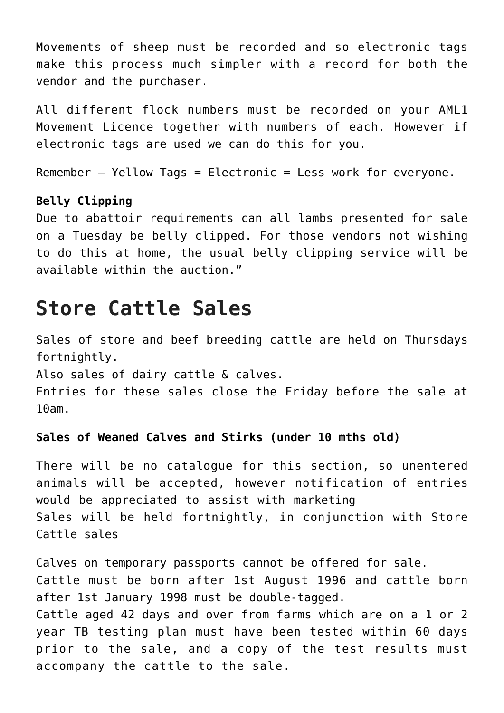Movements of sheep must be recorded and so electronic tags make this process much simpler with a record for both the vendor and the purchaser.

All different flock numbers must be recorded on your AML1 Movement Licence together with numbers of each. However if electronic tags are used we can do this for you.

Remember – Yellow Tags = Electronic = Less work for everyone.

#### **Belly Clipping**

Due to abattoir requirements can all lambs presented for sale on a Tuesday be belly clipped. For those vendors not wishing to do this at home, the usual belly clipping service will be available within the auction."

### **Store Cattle Sales**

Sales of store and beef breeding cattle are held on Thursdays fortnightly.

Also sales of dairy cattle & calves.

Entries for these sales close the Friday before the sale at 10am.

#### **Sales of Weaned Calves and Stirks (under 10 mths old)**

There will be no catalogue for this section, so unentered animals will be accepted, however notification of entries would be appreciated to assist with marketing Sales will be held fortnightly, in conjunction with Store Cattle sales

Calves on temporary passports cannot be offered for sale. Cattle must be born after 1st August 1996 and cattle born after 1st January 1998 must be double-tagged. Cattle aged 42 days and over from farms which are on a 1 or 2 year TB testing plan must have been tested within 60 days prior to the sale, and a copy of the test results must accompany the cattle to the sale.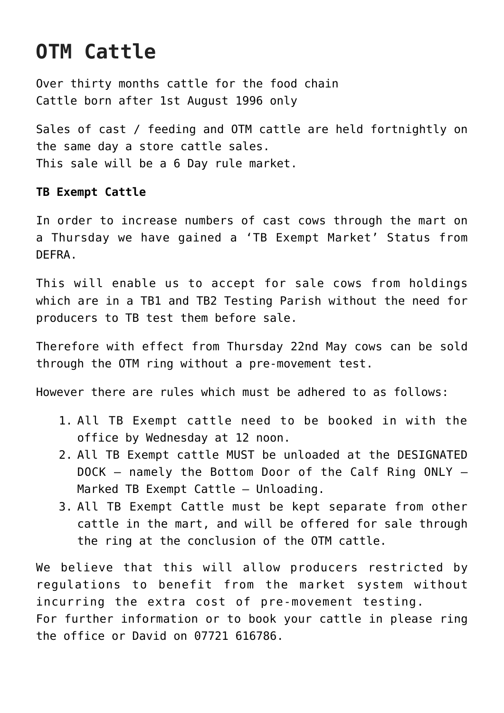## **OTM Cattle**

Over thirty months cattle for the food chain Cattle born after 1st August 1996 only

Sales of cast / feeding and OTM cattle are held fortnightly on the same day a store cattle sales. This sale will be a 6 Day rule market.

#### **TB Exempt Cattle**

In order to increase numbers of cast cows through the mart on a Thursday we have gained a 'TB Exempt Market' Status from DEFRA.

This will enable us to accept for sale cows from holdings which are in a TB1 and TB2 Testing Parish without the need for producers to TB test them before sale.

Therefore with effect from Thursday 22nd May cows can be sold through the OTM ring without a pre-movement test.

However there are rules which must be adhered to as follows:

- 1. All TB Exempt cattle need to be booked in with the office by Wednesday at 12 noon.
- 2. All TB Exempt cattle MUST be unloaded at the DESIGNATED DOCK – namely the Bottom Door of the Calf Ring ONLY – Marked TB Exempt Cattle – Unloading.
- 3. All TB Exempt Cattle must be kept separate from other cattle in the mart, and will be offered for sale through the ring at the conclusion of the OTM cattle.

We believe that this will allow producers restricted by regulations to benefit from the market system without incurring the extra cost of pre-movement testing. For further information or to book your cattle in please ring the office or David on 07721 616786.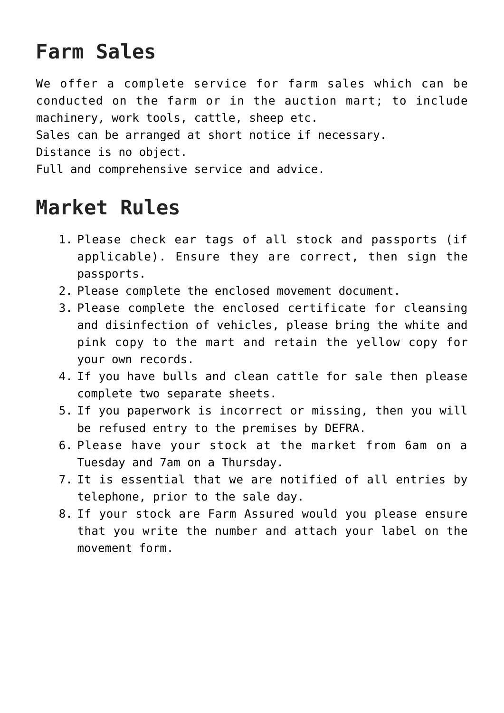### **Farm Sales**

We offer a complete service for farm sales which can be conducted on the farm or in the auction mart; to include machinery, work tools, cattle, sheep etc.

Sales can be arranged at short notice if necessary.

Distance is no object.

Full and comprehensive service and advice.

### **Market Rules**

- 1. Please check ear tags of all stock and passports (if applicable). Ensure they are correct, then sign the passports.
- 2. Please complete the enclosed movement document.
- 3. Please complete the enclosed certificate for cleansing and disinfection of vehicles, please bring the white and pink copy to the mart and retain the yellow copy for your own records.
- 4. If you have bulls and clean cattle for sale then please complete two separate sheets.
- 5. If you paperwork is incorrect or missing, then you will be refused entry to the premises by DEFRA.
- 6. Please have your stock at the market from 6am on a Tuesday and 7am on a Thursday.
- 7. It is essential that we are notified of all entries by telephone, prior to the sale day.
- 8. If your stock are Farm Assured would you please ensure that you write the number and attach your label on the movement form.